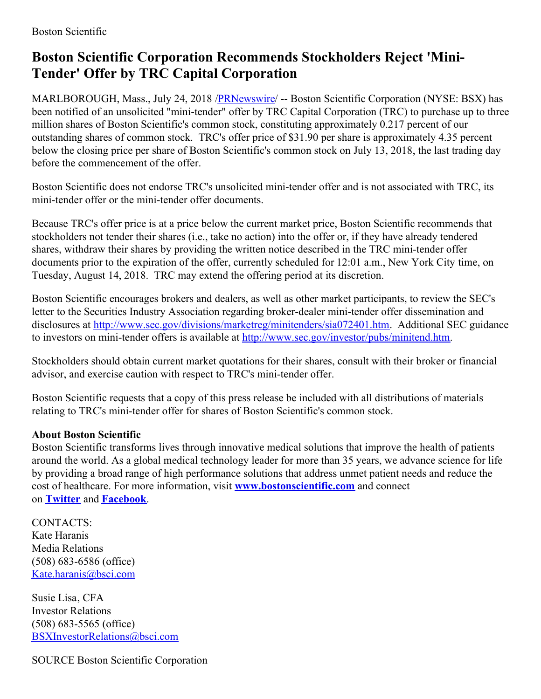## **Boston Scientific Corporation Recommends Stockholders Reject 'Mini-Tender' Offer by TRC Capital Corporation**

MARLBOROUGH, Mass., July 24, 2018 [/PRNewswire](http://www.prnewswire.com/)/ -- Boston Scientific Corporation (NYSE: BSX) has been notified of an unsolicited "mini-tender" offer by TRC Capital Corporation (TRC) to purchase up to three million shares of Boston Scientific's common stock, constituting approximately 0.217 percent of our outstanding shares of common stock. TRC's offer price of \$31.90 per share is approximately 4.35 percent below the closing price per share of Boston Scientific's common stock on July 13, 2018, the last trading day before the commencement of the offer.

Boston Scientific does not endorse TRC's unsolicited mini-tender offer and is not associated with TRC, its mini-tender offer or the mini-tender offer documents.

Because TRC's offer price is at a price below the current market price, Boston Scientific recommends that stockholders not tender their shares (i.e., take no action) into the offer or, if they have already tendered shares, withdraw their shares by providing the written notice described in the TRC mini-tender offer documents prior to the expiration of the offer, currently scheduled for 12:01 a.m., New York City time, on Tuesday, August 14, 2018. TRC may extend the offering period at its discretion.

Boston Scientific encourages brokers and dealers, as well as other market participants, to review the SEC's letter to the Securities Industry Association regarding broker-dealer mini-tender offer dissemination and disclosures at [http://www.sec.gov/divisions/marketreg/minitenders/sia072401.htm](https://c212.net/c/link/?t=0&l=en&o=2195027-1&h=2933654635&u=http%3A%2F%2Fwww.sec.gov%2Fdivisions%2Fmarketreg%2Fminitenders%2Fsia072401.htm&a=http%3A%2F%2Fwww.sec.gov%2Fdivisions%2Fmarketreg%2Fminitenders%2Fsia072401.htm). Additional SEC guidance to investors on mini-tender offers is available at [http://www.sec.gov/investor/pubs/minitend.htm](https://c212.net/c/link/?t=0&l=en&o=2195027-1&h=632981322&u=http%3A%2F%2Fwww.sec.gov%2Finvestor%2Fpubs%2Fminitend.htm&a=http%3A%2F%2Fwww.sec.gov%2Finvestor%2Fpubs%2Fminitend.htm).

Stockholders should obtain current market quotations for their shares, consult with their broker or financial advisor, and exercise caution with respect to TRC's mini-tender offer.

Boston Scientific requests that a copy of this press release be included with all distributions of materials relating to TRC's mini-tender offer for shares of Boston Scientific's common stock.

## **About Boston Scientific**

Boston Scientific transforms lives through innovative medical solutions that improve the health of patients around the world. As a global medical technology leader for more than 35 years, we advance science for life by providing a broad range of high performance solutions that address unmet patient needs and reduce the cost of healthcare. For more information, visit **[www.bostonscientific.com](https://c212.net/c/link/?t=0&l=en&o=2195027-1&h=1197226946&u=http%3A%2F%2Fwww.bostonscientific.com%2F&a=www.bostonscientific.com)** and connect on **[Twitter](https://c212.net/c/link/?t=0&l=en&o=2195027-1&h=3965339717&u=https%3A%2F%2Ftwitter.com%2Fbostonsci&a=Twitter)** and **[Facebook](https://c212.net/c/link/?t=0&l=en&o=2195027-1&h=3443252349&u=https%3A%2F%2Fwww.facebook.com%2FBostonScientific&a=Facebook)**.

CONTACTS: Kate Haranis Media Relations (508) 683-6586 (office) [Kate.haranis@bsci.com](mailto:Kate.haranis@bsci.com)

Susie Lisa, CFA Investor Relations (508) 683-5565 (office) [BSXInvestorRelations@bsci.com](mailto:BSXInvestorRelations@bsci.com)

SOURCE Boston Scientific Corporation